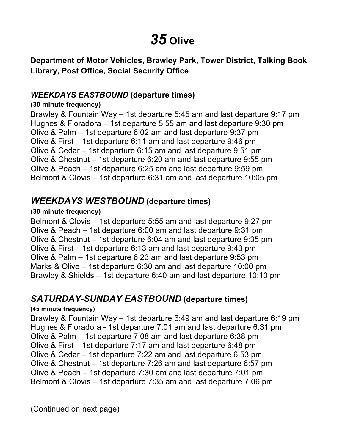# *35* **Olive**

 **Department of Motor Vehicles, Brawley Park, Tower District, Talking Book Library, Post Office, Social Security Office** 

## *WEEKDAYS EASTBOUND* **(departure times)**

#### **(30 minute frequency)**

 Brawley & Fountain Way – 1st departure 5:45 am and last departure 9:17 pm Hughes & Floradora – 1st departure 5:55 am and last departure 9:30 pm Olive & Palm – 1st departure 6:02 am and last departure 9:37 pm Olive & First – 1st departure 6:11 am and last departure 9:46 pm Olive & Cedar – 1st departure 6:15 am and last departure 9:51 pm Olive & Chestnut – 1st departure 6:20 am and last departure 9:55 pm Olive & Peach – 1st departure 6:25 am and last departure 9:59 pm Belmont & Clovis – 1st departure 6:31 am and last departure 10:05 pm

## *WEEKDAYS WESTBOUND* **(departure times)**

#### **(30 minute frequency)**

 Belmont & Clovis – 1st departure 5:55 am and last departure 9:27 pm Olive & Peach – 1st departure 6:00 am and last departure 9:31 pm Olive & Chestnut – 1st departure 6:04 am and last departure 9:35 pm Olive & First – 1st departure 6:13 am and last departure 9:43 pm Olive & Palm – 1st departure 6:23 am and last departure 9:53 pm Marks & Olive – 1st departure 6:30 am and last departure 10:00 pm Brawley & Shields – 1st departure 6:40 am and last departure 10:10 pm

## *SATURDAY-SUNDAY EASTBOUND* **(departure times)**

#### **(45 minute frequency)**

 Brawley & Fountain Way – 1st departure 6:49 am and last departure 6:19 pm Hughes & Floradora - 1st departure 7:01 am and last departure 6:31 pm Olive & Palm – 1st departure 7:08 am and last departure 6:38 pm Olive & First – 1st departure 7:17 am and last departure 6:48 pm Olive & Cedar – 1st departure 7:22 am and last departure 6:53 pm Olive & Chestnut – 1st departure 7:26 am and last departure 6:57 pm Olive & Peach – 1st departure 7:30 am and last departure 7:01 pm Belmont & Clovis – 1st departure 7:35 am and last departure 7:06 pm

(Continued on next page)